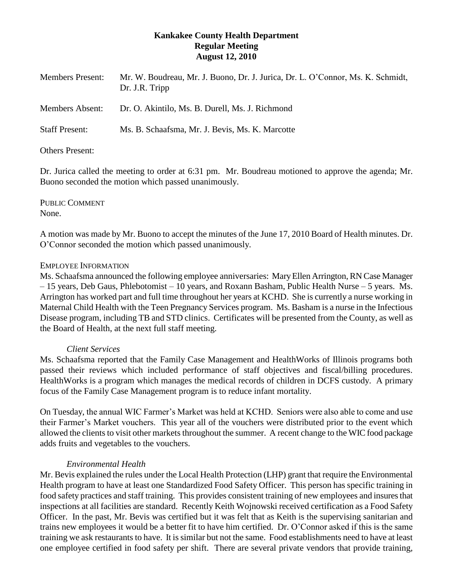## **Kankakee County Health Department Regular Meeting August 12, 2010**

| <b>Members Present:</b>               | Mr. W. Boudreau, Mr. J. Buono, Dr. J. Jurica, Dr. L. O'Connor, Ms. K. Schmidt,<br>Dr. J.R. Tripp |
|---------------------------------------|--------------------------------------------------------------------------------------------------|
| <b>Members Absent:</b>                | Dr. O. Akintilo, Ms. B. Durell, Ms. J. Richmond                                                  |
| <b>Staff Present:</b>                 | Ms. B. Schaafsma, Mr. J. Bevis, Ms. K. Marcotte                                                  |
| $\bigcap_{i=1}^n$ n $\bigcap_{i=1}^n$ |                                                                                                  |

Others Present:

Dr. Jurica called the meeting to order at 6:31 pm. Mr. Boudreau motioned to approve the agenda; Mr. Buono seconded the motion which passed unanimously.

PUBLIC COMMENT None.

A motion was made by Mr. Buono to accept the minutes of the June 17, 2010 Board of Health minutes. Dr. O'Connor seconded the motion which passed unanimously.

### EMPLOYEE INFORMATION

Ms. Schaafsma announced the following employee anniversaries: Mary Ellen Arrington, RN Case Manager – 15 years, Deb Gaus, Phlebotomist – 10 years, and Roxann Basham, Public Health Nurse – 5 years. Ms. Arrington has worked part and full time throughout her years at KCHD. She is currently a nurse working in Maternal Child Health with the Teen Pregnancy Services program. Ms. Basham is a nurse in the Infectious Disease program, including TB and STD clinics. Certificates will be presented from the County, as well as the Board of Health, at the next full staff meeting.

### *Client Services*

Ms. Schaafsma reported that the Family Case Management and HealthWorks of Illinois programs both passed their reviews which included performance of staff objectives and fiscal/billing procedures. HealthWorks is a program which manages the medical records of children in DCFS custody. A primary focus of the Family Case Management program is to reduce infant mortality.

On Tuesday, the annual WIC Farmer's Market was held at KCHD. Seniors were also able to come and use their Farmer's Market vouchers. This year all of the vouchers were distributed prior to the event which allowed the clients to visit other markets throughout the summer. A recent change to the WIC food package adds fruits and vegetables to the vouchers.

# *Environmental Health*

Mr. Bevis explained the rules under the Local Health Protection (LHP) grant that require the Environmental Health program to have at least one Standardized Food Safety Officer. This person has specific training in food safety practices and staff training. This provides consistent training of new employees and insures that inspections at all facilities are standard. Recently Keith Wojnowski received certification as a Food Safety Officer. In the past, Mr. Bevis was certified but it was felt that as Keith is the supervising sanitarian and trains new employees it would be a better fit to have him certified. Dr. O'Connor asked if this is the same training we ask restaurants to have. It is similar but not the same. Food establishments need to have at least one employee certified in food safety per shift. There are several private vendors that provide training,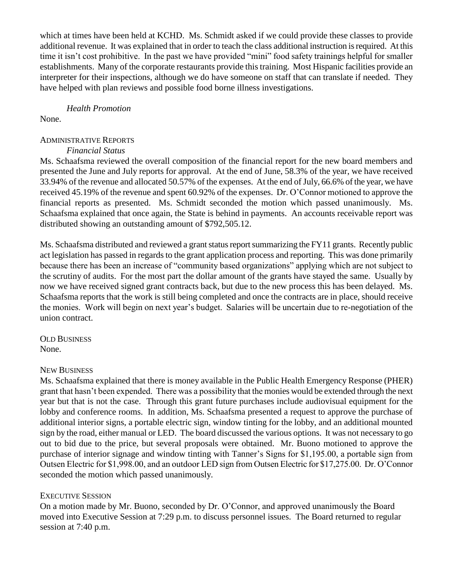which at times have been held at KCHD. Ms. Schmidt asked if we could provide these classes to provide additional revenue. It was explained that in order to teach the class additional instruction is required. At this time it isn't cost prohibitive. In the past we have provided "mini" food safety trainings helpful for smaller establishments. Many of the corporate restaurants provide this training. Most Hispanic facilities provide an interpreter for their inspections, although we do have someone on staff that can translate if needed. They have helped with plan reviews and possible food borne illness investigations.

### *Health Promotion*

None.

## ADMINISTRATIVE REPORTS

### *Financial Status*

Ms. Schaafsma reviewed the overall composition of the financial report for the new board members and presented the June and July reports for approval. At the end of June, 58.3% of the year, we have received 33.94% of the revenue and allocated 50.57% of the expenses. At the end of July, 66.6% of the year, we have received 45.19% of the revenue and spent 60.92% of the expenses. Dr. O'Connor motioned to approve the financial reports as presented. Ms. Schmidt seconded the motion which passed unanimously. Ms. Schaafsma explained that once again, the State is behind in payments. An accounts receivable report was distributed showing an outstanding amount of \$792,505.12.

Ms. Schaafsma distributed and reviewed a grant status report summarizing the FY11 grants. Recently public act legislation has passed in regards to the grant application process and reporting. This was done primarily because there has been an increase of "community based organizations" applying which are not subject to the scrutiny of audits. For the most part the dollar amount of the grants have stayed the same. Usually by now we have received signed grant contracts back, but due to the new process this has been delayed. Ms. Schaafsma reports that the work is still being completed and once the contracts are in place, should receive the monies. Work will begin on next year's budget. Salaries will be uncertain due to re-negotiation of the union contract.

OLD BUSINESS None.

### NEW BUSINESS

Ms. Schaafsma explained that there is money available in the Public Health Emergency Response (PHER) grant that hasn't been expended. There was a possibility that the monies would be extended through the next year but that is not the case. Through this grant future purchases include audiovisual equipment for the lobby and conference rooms. In addition, Ms. Schaafsma presented a request to approve the purchase of additional interior signs, a portable electric sign, window tinting for the lobby, and an additional mounted sign by the road, either manual or LED. The board discussed the various options. It was not necessary to go out to bid due to the price, but several proposals were obtained. Mr. Buono motioned to approve the purchase of interior signage and window tinting with Tanner's Signs for \$1,195.00, a portable sign from Outsen Electric for \$1,998.00, and an outdoor LED sign from Outsen Electric for \$17,275.00. Dr. O'Connor seconded the motion which passed unanimously.

# EXECUTIVE SESSION

On a motion made by Mr. Buono, seconded by Dr. O'Connor, and approved unanimously the Board moved into Executive Session at 7:29 p.m. to discuss personnel issues. The Board returned to regular session at 7:40 p.m.